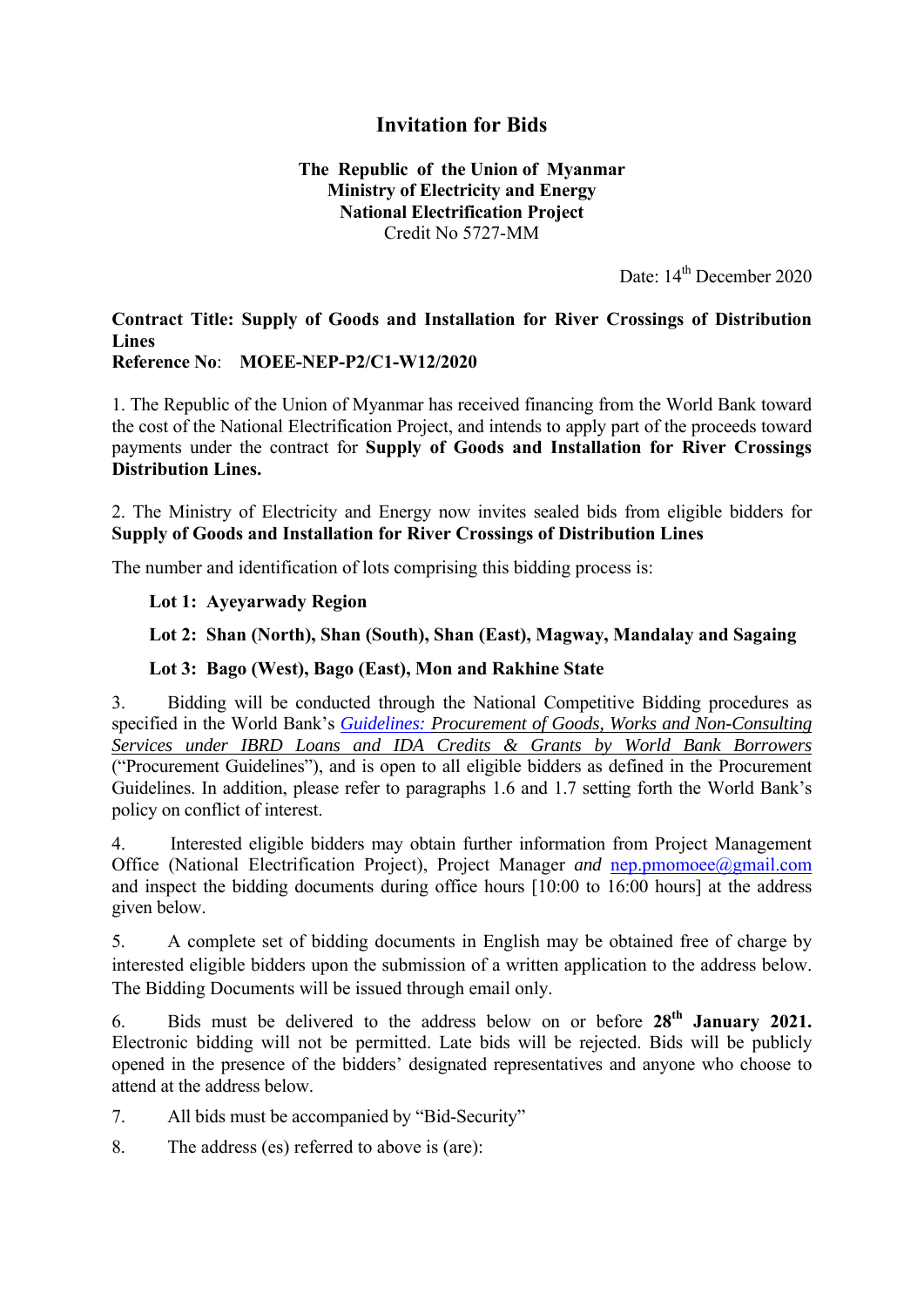## **Invitation for Bids**

#### **The Republic of the Union of Myanmar Ministry of Electricity and Energy National Electrification Project**  Credit No 5727-MM

Date: 14<sup>th</sup> December 2020

# **Contract Title: Supply of Goods and Installation for River Crossings of Distribution Lines**

**Reference No**: **MOEE-NEP-P2/C1-W12/2020**

1. The Republic of the Union of Myanmar has received financing from the World Bank toward the cost of the National Electrification Project, and intends to apply part of the proceeds toward payments under the contract for **Supply of Goods and Installation for River Crossings Distribution Lines.** 

2. The Ministry of Electricity and Energy now invites sealed bids from eligible bidders for **Supply of Goods and Installation for River Crossings of Distribution Lines** 

The number and identification of lots comprising this bidding process is:

#### **Lot 1: Ayeyarwady Region**

### **Lot 2: Shan (North), Shan (South), Shan (East), Magway, Mandalay and Sagaing**

#### **Lot 3: Bago (West), Bago (East), Mon and Rakhine State**

3. Bidding will be conducted through the National Competitive Bidding procedures as specified in the World Bank's *Guidelines: Procurement of Goods, Works and Non-Consulting Services under IBRD Loans and IDA Credits & Grants by World Bank Borrowers* ("Procurement Guidelines"), and is open to all eligible bidders as defined in the Procurement Guidelines. In addition, please refer to paragraphs 1.6 and 1.7 setting forth the World Bank's policy on conflict of interest.

4. Interested eligible bidders may obtain further information from Project Management Office (National Electrification Project), Project Manager *and* nep.pmomoee@gmail.com and inspect the bidding documents during office hours [10:00 to 16:00 hours] at the address given below.

5. A complete set of bidding documents in English may be obtained free of charge by interested eligible bidders upon the submission of a written application to the address below. The Bidding Documents will be issued through email only.

6. Bids must be delivered to the address below on or before **28th January 2021.** Electronic bidding will not be permitted. Late bids will be rejected. Bids will be publicly opened in the presence of the bidders' designated representatives and anyone who choose to attend at the address below.

7. All bids must be accompanied by "Bid-Security"

8. The address (es) referred to above is (are):